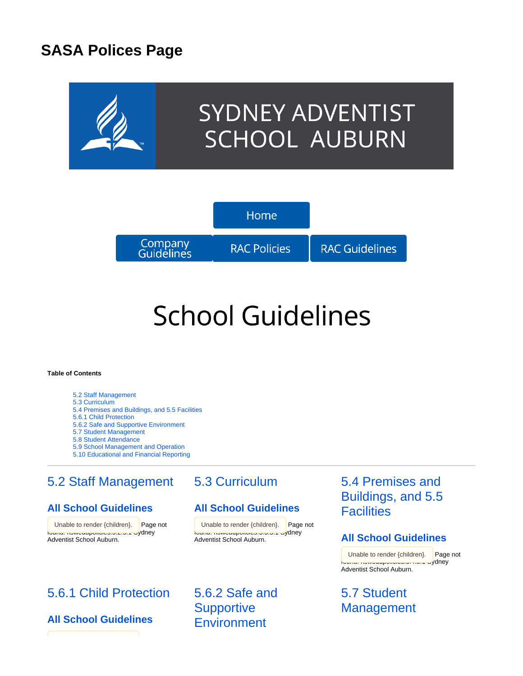# **SASA Polices Page**



# **School Guidelines**

#### **Table of Contents**

[5.2 Staff Management](#page-0-0)

- [5.3 Curriculum](#page-0-0)
- [5.4 Premises and Buildings, and 5.5 Facilities](#page-0-0) [5.6.1 Child Protection](#page-0-1)
- [5.6.2 Safe and Supportive Environment](#page-0-1)
- [5.7 Student Management](#page-0-1)
- [5.8 Student Attendance](#page-1-0)
- [5.9 School Management and Operation](#page-1-0)
- [5.10 Educational and Financial Reporting](#page-1-0)

# <span id="page-0-0"></span>[5.2 Staff Management](https://confluence.adventist.edu.au/pages/viewpage.action?pageId=2753070)

## **[All School Guidelines](https://confluence.adventist.edu.au/display/nsweduintranet/RAC+-+Guideline+Comparison+5.2+Staff+Management)**

Unable to render {children}. Page not found: nowodupolioico.o.z.o.1 sydney Adventist School Auburn.

# <span id="page-0-1"></span>[5.6.1 Child Protection](https://confluence.adventist.edu.au/pages/viewpage.action?pageId=2753591)

## **[All School Guidelines](https://confluence.adventist.edu.au/display/nsweduintranet/RAC+-+Guideline+Comparison+5.6.1+Child+Protection)**

## [5.3 Curriculum](https://confluence.adventist.edu.au/pages/viewpage.action?pageId=2752585)

## **[All School Guidelines](https://confluence.adventist.edu.au/display/nsweduintranet/RAC+-+Guideline+Comparison+5.3+Curriculum)**

{children}. Page not I unable to render {children}. Page not found: nowcaupolicies.o.o.o.1 sydney Adventist School Auburn.

> [5.6.2 Safe and](https://confluence.adventist.edu.au/pages/viewpage.action?pageId=2753604)  **Supportive [Environment](https://confluence.adventist.edu.au/pages/viewpage.action?pageId=2753604)**

# [5.4 Premises and](https://confluence.adventist.edu.au/pages/viewpage.action?pageId=2752731)  [Buildings, and 5.5](https://confluence.adventist.edu.au/pages/viewpage.action?pageId=2752731)  **[Facilities](https://confluence.adventist.edu.au/pages/viewpage.action?pageId=2752731)**

### **[All School Guidelines](https://confluence.adventist.edu.au/display/nsweduintranet/RAC+-+Guideline+Comparison+5.3+Curriculum)**

Unable to render {children}. Page not found: nswedupolicies:5.4.5.1 Sydney Adventist School Auburn.

# [5.7 Student](https://confluence.adventist.edu.au/pages/viewpage.action?pageId=2752698)  **[Management](https://confluence.adventist.edu.au/pages/viewpage.action?pageId=2752698)**